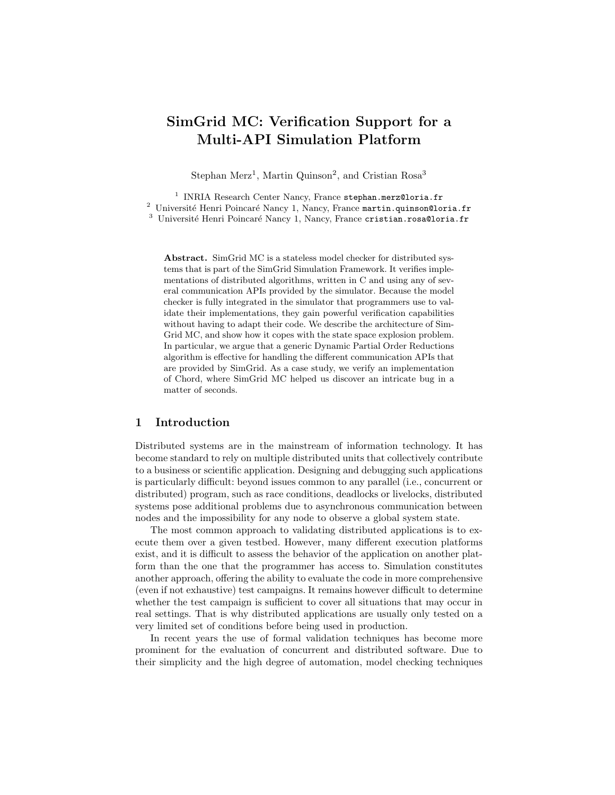# SimGrid MC: Verification Support for a Multi-API Simulation Platform

Stephan Merz<sup>1</sup>, Martin Quinson<sup>2</sup>, and Cristian Rosa<sup>3</sup>

<sup>1</sup> INRIA Research Center Nancy, France stephan.merz@loria.fr <sup>2</sup> Université Henri Poincaré Nancy 1, Nancy, France martin.quinson@loria.fr  $3$  Université Henri Poincaré Nancy 1, Nancy, France cristian.rosa@loria.fr

Abstract. SimGrid MC is a stateless model checker for distributed systems that is part of the SimGrid Simulation Framework. It verifies implementations of distributed algorithms, written in C and using any of several communication APIs provided by the simulator. Because the model checker is fully integrated in the simulator that programmers use to validate their implementations, they gain powerful verification capabilities without having to adapt their code. We describe the architecture of Sim-Grid MC, and show how it copes with the state space explosion problem. In particular, we argue that a generic Dynamic Partial Order Reductions algorithm is effective for handling the different communication APIs that are provided by SimGrid. As a case study, we verify an implementation of Chord, where SimGrid MC helped us discover an intricate bug in a matter of seconds.

# 1 Introduction

Distributed systems are in the mainstream of information technology. It has become standard to rely on multiple distributed units that collectively contribute to a business or scientific application. Designing and debugging such applications is particularly difficult: beyond issues common to any parallel (i.e., concurrent or distributed) program, such as race conditions, deadlocks or livelocks, distributed systems pose additional problems due to asynchronous communication between nodes and the impossibility for any node to observe a global system state.

The most common approach to validating distributed applications is to execute them over a given testbed. However, many different execution platforms exist, and it is difficult to assess the behavior of the application on another platform than the one that the programmer has access to. Simulation constitutes another approach, offering the ability to evaluate the code in more comprehensive (even if not exhaustive) test campaigns. It remains however difficult to determine whether the test campaign is sufficient to cover all situations that may occur in real settings. That is why distributed applications are usually only tested on a very limited set of conditions before being used in production.

In recent years the use of formal validation techniques has become more prominent for the evaluation of concurrent and distributed software. Due to their simplicity and the high degree of automation, model checking techniques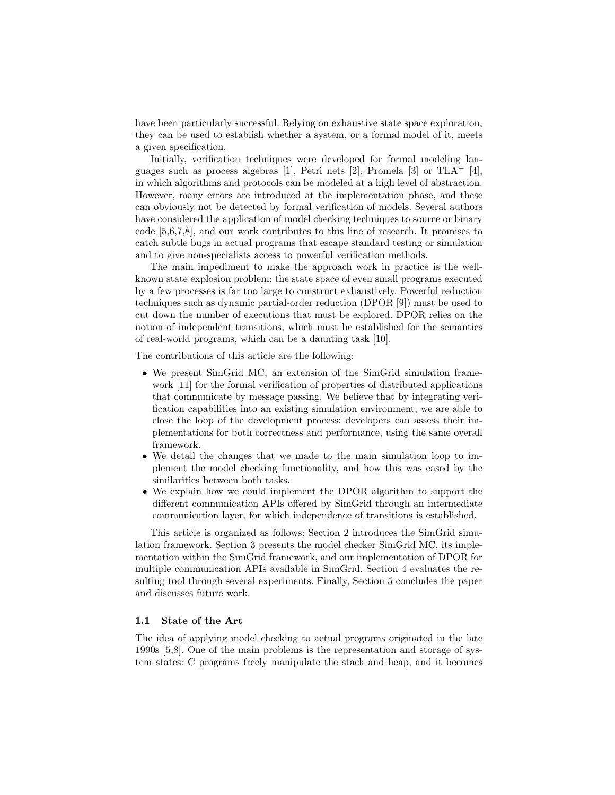have been particularly successful. Relying on exhaustive state space exploration, they can be used to establish whether a system, or a formal model of it, meets a given specification.

Initially, verification techniques were developed for formal modeling languages such as process algebras [1], Petri nets [2], Promela [3] or  $TLA<sup>+</sup>$  [4], in which algorithms and protocols can be modeled at a high level of abstraction. However, many errors are introduced at the implementation phase, and these can obviously not be detected by formal verification of models. Several authors have considered the application of model checking techniques to source or binary code [5,6,7,8], and our work contributes to this line of research. It promises to catch subtle bugs in actual programs that escape standard testing or simulation and to give non-specialists access to powerful verification methods.

The main impediment to make the approach work in practice is the wellknown state explosion problem: the state space of even small programs executed by a few processes is far too large to construct exhaustively. Powerful reduction techniques such as dynamic partial-order reduction (DPOR [9]) must be used to cut down the number of executions that must be explored. DPOR relies on the notion of independent transitions, which must be established for the semantics of real-world programs, which can be a daunting task [10].

The contributions of this article are the following:

- We present SimGrid MC, an extension of the SimGrid simulation framework [11] for the formal verification of properties of distributed applications that communicate by message passing. We believe that by integrating verification capabilities into an existing simulation environment, we are able to close the loop of the development process: developers can assess their implementations for both correctness and performance, using the same overall framework.
- We detail the changes that we made to the main simulation loop to implement the model checking functionality, and how this was eased by the similarities between both tasks.
- We explain how we could implement the DPOR algorithm to support the different communication APIs offered by SimGrid through an intermediate communication layer, for which independence of transitions is established.

This article is organized as follows: Section 2 introduces the SimGrid simulation framework. Section 3 presents the model checker SimGrid MC, its implementation within the SimGrid framework, and our implementation of DPOR for multiple communication APIs available in SimGrid. Section 4 evaluates the resulting tool through several experiments. Finally, Section 5 concludes the paper and discusses future work.

### 1.1 State of the Art

The idea of applying model checking to actual programs originated in the late 1990s [5,8]. One of the main problems is the representation and storage of system states: C programs freely manipulate the stack and heap, and it becomes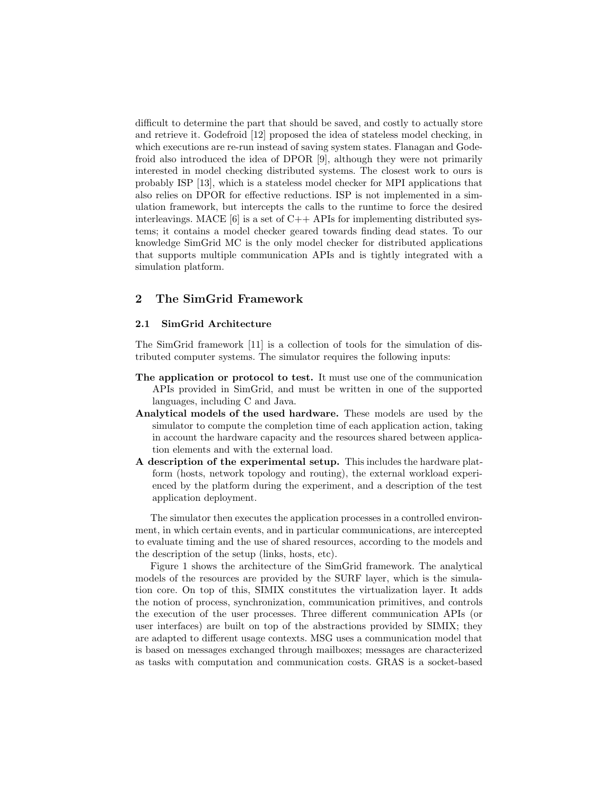difficult to determine the part that should be saved, and costly to actually store and retrieve it. Godefroid [12] proposed the idea of stateless model checking, in which executions are re-run instead of saving system states. Flanagan and Godefroid also introduced the idea of DPOR [9], although they were not primarily interested in model checking distributed systems. The closest work to ours is probably ISP [13], which is a stateless model checker for MPI applications that also relies on DPOR for effective reductions. ISP is not implemented in a simulation framework, but intercepts the calls to the runtime to force the desired interleavings. MACE [6] is a set of  $C++$  APIs for implementing distributed systems; it contains a model checker geared towards finding dead states. To our knowledge SimGrid MC is the only model checker for distributed applications that supports multiple communication APIs and is tightly integrated with a simulation platform.

# 2 The SimGrid Framework

### 2.1 SimGrid Architecture

The SimGrid framework [11] is a collection of tools for the simulation of distributed computer systems. The simulator requires the following inputs:

- The application or protocol to test. It must use one of the communication APIs provided in SimGrid, and must be written in one of the supported languages, including C and Java.
- Analytical models of the used hardware. These models are used by the simulator to compute the completion time of each application action, taking in account the hardware capacity and the resources shared between application elements and with the external load.
- A description of the experimental setup. This includes the hardware platform (hosts, network topology and routing), the external workload experienced by the platform during the experiment, and a description of the test application deployment.

The simulator then executes the application processes in a controlled environment, in which certain events, and in particular communications, are intercepted to evaluate timing and the use of shared resources, according to the models and the description of the setup (links, hosts, etc).

Figure 1 shows the architecture of the SimGrid framework. The analytical models of the resources are provided by the SURF layer, which is the simulation core. On top of this, SIMIX constitutes the virtualization layer. It adds the notion of process, synchronization, communication primitives, and controls the execution of the user processes. Three different communication APIs (or user interfaces) are built on top of the abstractions provided by SIMIX; they are adapted to different usage contexts. MSG uses a communication model that is based on messages exchanged through mailboxes; messages are characterized as tasks with computation and communication costs. GRAS is a socket-based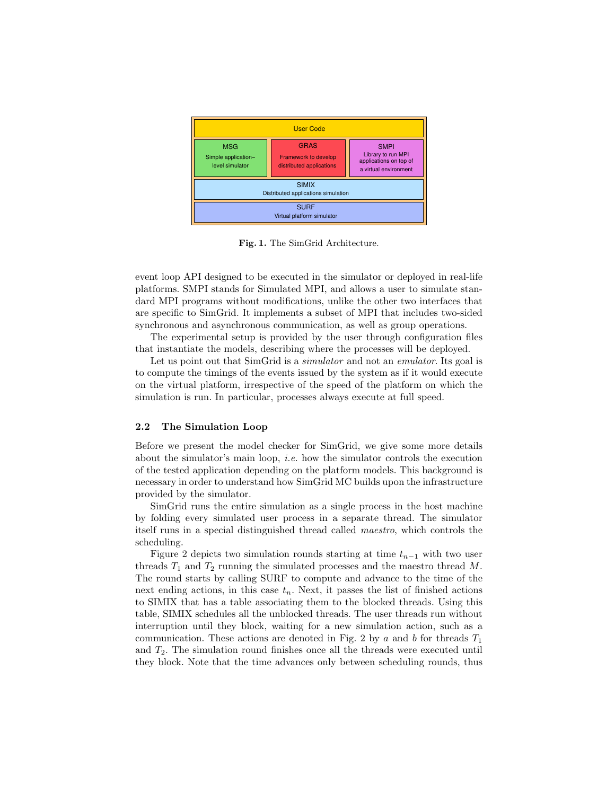

Fig. 1. The SimGrid Architecture.

event loop API designed to be executed in the simulator or deployed in real-life platforms. SMPI stands for Simulated MPI, and allows a user to simulate standard MPI programs without modifications, unlike the other two interfaces that are specific to SimGrid. It implements a subset of MPI that includes two-sided synchronous and asynchronous communication, as well as group operations.

The experimental setup is provided by the user through configuration files that instantiate the models, describing where the processes will be deployed.

Let us point out that SimGrid is a *simulator* and not an *emulator*. Its goal is to compute the timings of the events issued by the system as if it would execute on the virtual platform, irrespective of the speed of the platform on which the simulation is run. In particular, processes always execute at full speed.

#### 2.2 The Simulation Loop

Before we present the model checker for SimGrid, we give some more details about the simulator's main loop, *i.e.* how the simulator controls the execution of the tested application depending on the platform models. This background is necessary in order to understand how SimGrid MC builds upon the infrastructure provided by the simulator.

SimGrid runs the entire simulation as a single process in the host machine by folding every simulated user process in a separate thread. The simulator itself runs in a special distinguished thread called maestro, which controls the scheduling.

Figure 2 depicts two simulation rounds starting at time  $t_{n-1}$  with two user threads  $T_1$  and  $T_2$  running the simulated processes and the maestro thread M. The round starts by calling SURF to compute and advance to the time of the next ending actions, in this case  $t_n$ . Next, it passes the list of finished actions to SIMIX that has a table associating them to the blocked threads. Using this table, SIMIX schedules all the unblocked threads. The user threads run without interruption until they block, waiting for a new simulation action, such as a communication. These actions are denoted in Fig. 2 by a and b for threads  $T_1$ and  $T_2$ . The simulation round finishes once all the threads were executed until they block. Note that the time advances only between scheduling rounds, thus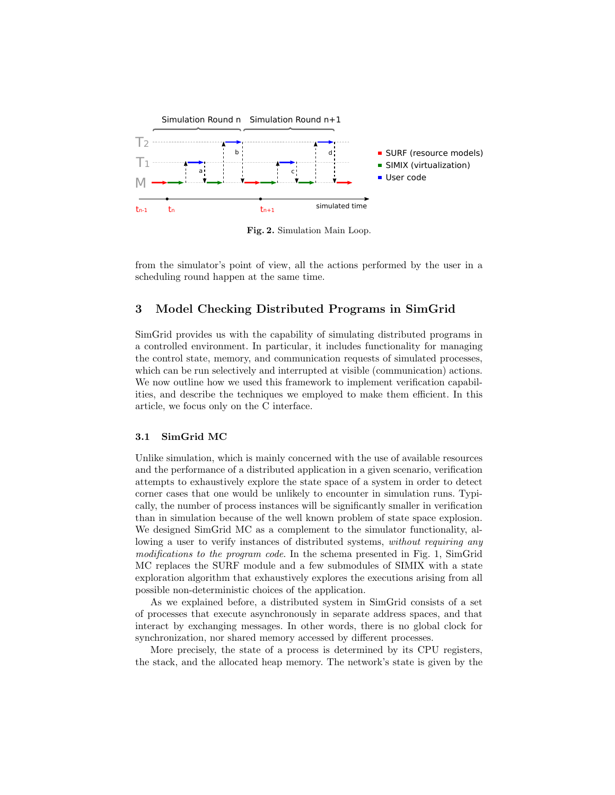

Fig. 2. Simulation Main Loop.

from the simulator's point of view, all the actions performed by the user in a scheduling round happen at the same time.

# 3 Model Checking Distributed Programs in SimGrid

SimGrid provides us with the capability of simulating distributed programs in a controlled environment. In particular, it includes functionality for managing the control state, memory, and communication requests of simulated processes, which can be run selectively and interrupted at visible (communication) actions. We now outline how we used this framework to implement verification capabilities, and describe the techniques we employed to make them efficient. In this article, we focus only on the C interface.

## 3.1 SimGrid MC

Unlike simulation, which is mainly concerned with the use of available resources and the performance of a distributed application in a given scenario, verification attempts to exhaustively explore the state space of a system in order to detect corner cases that one would be unlikely to encounter in simulation runs. Typically, the number of process instances will be significantly smaller in verification than in simulation because of the well known problem of state space explosion. We designed SimGrid MC as a complement to the simulator functionality, allowing a user to verify instances of distributed systems, without requiring any modifications to the program code. In the schema presented in Fig. 1, SimGrid MC replaces the SURF module and a few submodules of SIMIX with a state exploration algorithm that exhaustively explores the executions arising from all possible non-deterministic choices of the application.

As we explained before, a distributed system in SimGrid consists of a set of processes that execute asynchronously in separate address spaces, and that interact by exchanging messages. In other words, there is no global clock for synchronization, nor shared memory accessed by different processes.

More precisely, the state of a process is determined by its CPU registers, the stack, and the allocated heap memory. The network's state is given by the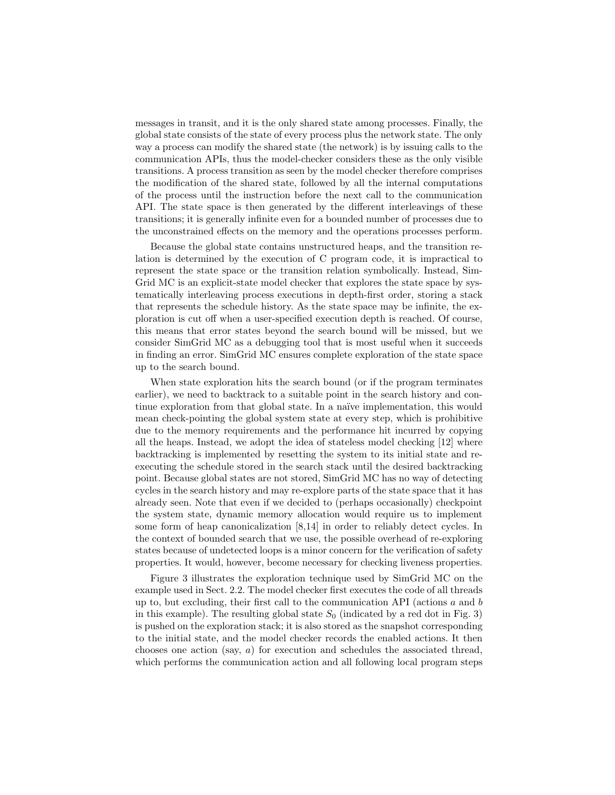messages in transit, and it is the only shared state among processes. Finally, the global state consists of the state of every process plus the network state. The only way a process can modify the shared state (the network) is by issuing calls to the communication APIs, thus the model-checker considers these as the only visible transitions. A process transition as seen by the model checker therefore comprises the modification of the shared state, followed by all the internal computations of the process until the instruction before the next call to the communication API. The state space is then generated by the different interleavings of these transitions; it is generally infinite even for a bounded number of processes due to the unconstrained effects on the memory and the operations processes perform.

Because the global state contains unstructured heaps, and the transition relation is determined by the execution of C program code, it is impractical to represent the state space or the transition relation symbolically. Instead, Sim-Grid MC is an explicit-state model checker that explores the state space by systematically interleaving process executions in depth-first order, storing a stack that represents the schedule history. As the state space may be infinite, the exploration is cut off when a user-specified execution depth is reached. Of course, this means that error states beyond the search bound will be missed, but we consider SimGrid MC as a debugging tool that is most useful when it succeeds in finding an error. SimGrid MC ensures complete exploration of the state space up to the search bound.

When state exploration hits the search bound (or if the program terminates) earlier), we need to backtrack to a suitable point in the search history and continue exploration from that global state. In a naïve implementation, this would mean check-pointing the global system state at every step, which is prohibitive due to the memory requirements and the performance hit incurred by copying all the heaps. Instead, we adopt the idea of stateless model checking [12] where backtracking is implemented by resetting the system to its initial state and reexecuting the schedule stored in the search stack until the desired backtracking point. Because global states are not stored, SimGrid MC has no way of detecting cycles in the search history and may re-explore parts of the state space that it has already seen. Note that even if we decided to (perhaps occasionally) checkpoint the system state, dynamic memory allocation would require us to implement some form of heap canonicalization [8,14] in order to reliably detect cycles. In the context of bounded search that we use, the possible overhead of re-exploring states because of undetected loops is a minor concern for the verification of safety properties. It would, however, become necessary for checking liveness properties.

Figure 3 illustrates the exploration technique used by SimGrid MC on the example used in Sect. 2.2. The model checker first executes the code of all threads up to, but excluding, their first call to the communication API (actions  $a$  and  $b$ in this example). The resulting global state  $S_0$  (indicated by a red dot in Fig. 3) is pushed on the exploration stack; it is also stored as the snapshot corresponding to the initial state, and the model checker records the enabled actions. It then chooses one action (say, a) for execution and schedules the associated thread, which performs the communication action and all following local program steps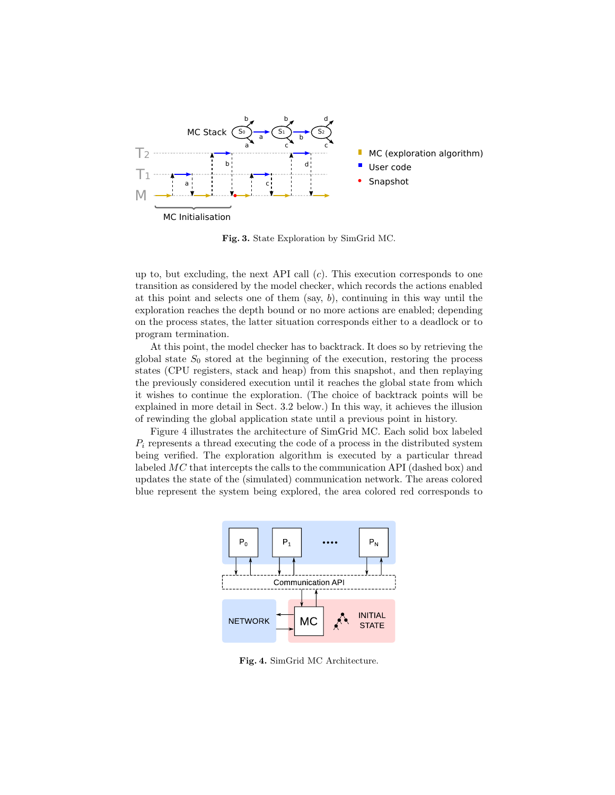

Fig. 3. State Exploration by SimGrid MC.

up to, but excluding, the next API call  $(c)$ . This execution corresponds to one transition as considered by the model checker, which records the actions enabled at this point and selects one of them (say,  $b$ ), continuing in this way until the exploration reaches the depth bound or no more actions are enabled; depending on the process states, the latter situation corresponds either to a deadlock or to program termination.

At this point, the model checker has to backtrack. It does so by retrieving the global state  $S_0$  stored at the beginning of the execution, restoring the process states (CPU registers, stack and heap) from this snapshot, and then replaying the previously considered execution until it reaches the global state from which it wishes to continue the exploration. (The choice of backtrack points will be explained in more detail in Sect. 3.2 below.) In this way, it achieves the illusion of rewinding the global application state until a previous point in history.

Figure 4 illustrates the architecture of SimGrid MC. Each solid box labeled  $P_i$  represents a thread executing the code of a process in the distributed system being verified. The exploration algorithm is executed by a particular thread labeled MC that intercepts the calls to the communication API (dashed box) and updates the state of the (simulated) communication network. The areas colored blue represent the system being explored, the area colored red corresponds to



Fig. 4. SimGrid MC Architecture.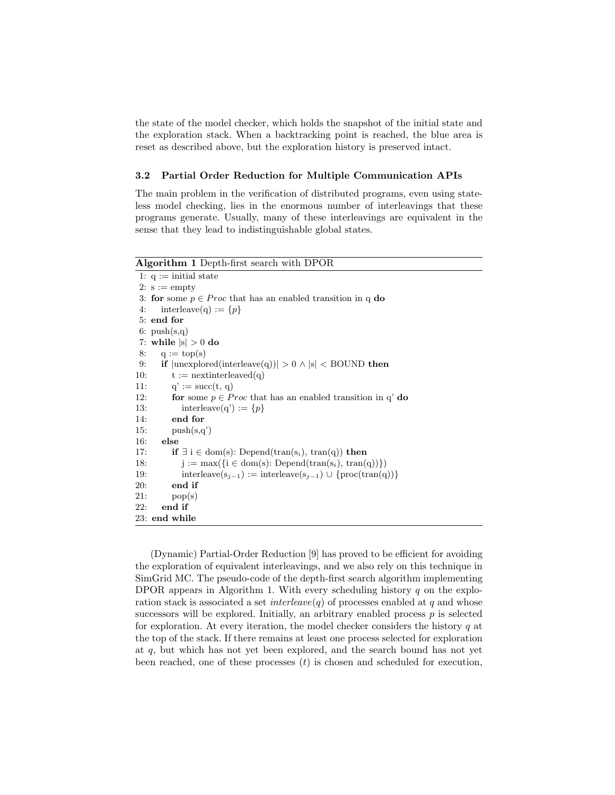the state of the model checker, which holds the snapshot of the initial state and the exploration stack. When a backtracking point is reached, the blue area is reset as described above, but the exploration history is preserved intact.

#### 3.2 Partial Order Reduction for Multiple Communication APIs

The main problem in the verification of distributed programs, even using stateless model checking, lies in the enormous number of interleavings that these programs generate. Usually, many of these interleavings are equivalent in the sense that they lead to indistinguishable global states.

Algorithm 1 Depth-first search with DPOR

| 1: $q :=$ initial state                                                                          |
|--------------------------------------------------------------------------------------------------|
| 2: $s := \text{empty}$                                                                           |
| 3: for some $p \in Proc$ that has an enabled transition in q do                                  |
| $interleave(q) := \{p\}$                                                                         |
| 5: end for                                                                                       |
| 6: $push(s,q)$                                                                                   |
| 7: while $ s  > 0$ do                                                                            |
| 8: $q := top(s)$                                                                                 |
| 9: if $ \text{unexplored}(\text{interleave}(q))  > 0 \land  s  < \text{BOUND}$ then              |
| $t :=$ nextinterleaved(q)                                                                        |
| 11: $q' := succ(t, q)$                                                                           |
| for some $p \in Proc$ that has an enabled transition in q' do                                    |
| $interleave(q') := \{p\}$                                                                        |
| end for                                                                                          |
| push(s,q')                                                                                       |
| else                                                                                             |
| if $\exists i \in \text{dom}(s)$ : Depend(tran(s <sub>i</sub> ), tran(q)) then                   |
| $j := max(\{i \in dom(s): Depend(train(s_i), tran(q))\})$                                        |
| $\text{interleave}(s_{j-1}) := \text{interleave}(s_{j-1}) \cup \{\text{proc}(\text{tran}(q))\}\$ |
| end if                                                                                           |
| pop(s)                                                                                           |
| end if                                                                                           |
| 23: end while                                                                                    |
|                                                                                                  |

(Dynamic) Partial-Order Reduction [9] has proved to be efficient for avoiding the exploration of equivalent interleavings, and we also rely on this technique in SimGrid MC. The pseudo-code of the depth-first search algorithm implementing DPOR appears in Algorithm 1. With every scheduling history  $q$  on the exploration stack is associated a set *interleave(q)* of processes enabled at q and whose successors will be explored. Initially, an arbitrary enabled process  $p$  is selected for exploration. At every iteration, the model checker considers the history  $q$  at the top of the stack. If there remains at least one process selected for exploration at q, but which has not yet been explored, and the search bound has not yet been reached, one of these processes  $(t)$  is chosen and scheduled for execution,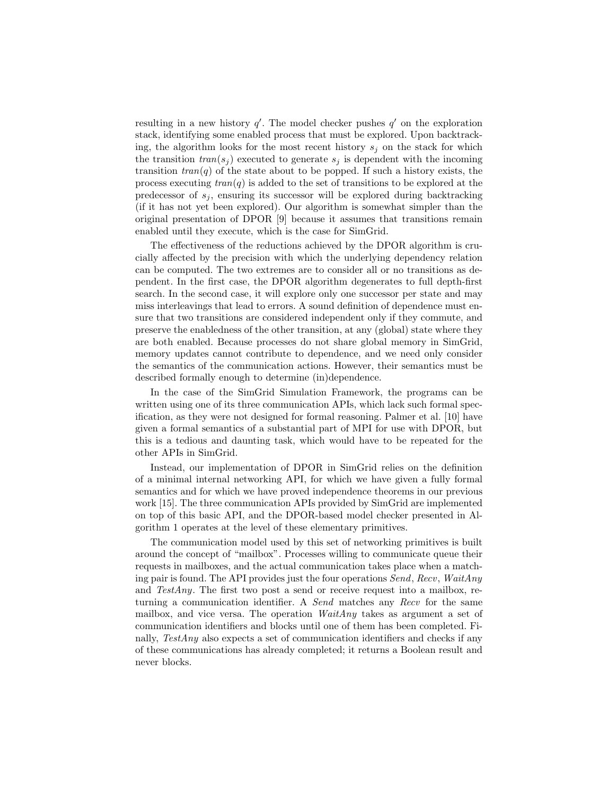resulting in a new history  $q'$ . The model checker pushes  $q'$  on the exploration stack, identifying some enabled process that must be explored. Upon backtracking, the algorithm looks for the most recent history  $s_i$  on the stack for which the transition  $tran(s_j)$  executed to generate  $s_j$  is dependent with the incoming transition  $tran(q)$  of the state about to be popped. If such a history exists, the process executing  $tran(q)$  is added to the set of transitions to be explored at the predecessor of  $s_i$ , ensuring its successor will be explored during backtracking (if it has not yet been explored). Our algorithm is somewhat simpler than the original presentation of DPOR [9] because it assumes that transitions remain enabled until they execute, which is the case for SimGrid.

The effectiveness of the reductions achieved by the DPOR algorithm is crucially affected by the precision with which the underlying dependency relation can be computed. The two extremes are to consider all or no transitions as dependent. In the first case, the DPOR algorithm degenerates to full depth-first search. In the second case, it will explore only one successor per state and may miss interleavings that lead to errors. A sound definition of dependence must ensure that two transitions are considered independent only if they commute, and preserve the enabledness of the other transition, at any (global) state where they are both enabled. Because processes do not share global memory in SimGrid, memory updates cannot contribute to dependence, and we need only consider the semantics of the communication actions. However, their semantics must be described formally enough to determine (in)dependence.

In the case of the SimGrid Simulation Framework, the programs can be written using one of its three communication APIs, which lack such formal specification, as they were not designed for formal reasoning. Palmer et al. [10] have given a formal semantics of a substantial part of MPI for use with DPOR, but this is a tedious and daunting task, which would have to be repeated for the other APIs in SimGrid.

Instead, our implementation of DPOR in SimGrid relies on the definition of a minimal internal networking API, for which we have given a fully formal semantics and for which we have proved independence theorems in our previous work [15]. The three communication APIs provided by SimGrid are implemented on top of this basic API, and the DPOR-based model checker presented in Algorithm 1 operates at the level of these elementary primitives.

The communication model used by this set of networking primitives is built around the concept of "mailbox". Processes willing to communicate queue their requests in mailboxes, and the actual communication takes place when a matching pair is found. The API provides just the four operations Send, Recv, WaitAny and TestAny. The first two post a send or receive request into a mailbox, returning a communication identifier. A *Send* matches any *Recv* for the same mailbox, and vice versa. The operation  $WaitAny$  takes as argument a set of communication identifiers and blocks until one of them has been completed. Finally, TestAny also expects a set of communication identifiers and checks if any of these communications has already completed; it returns a Boolean result and never blocks.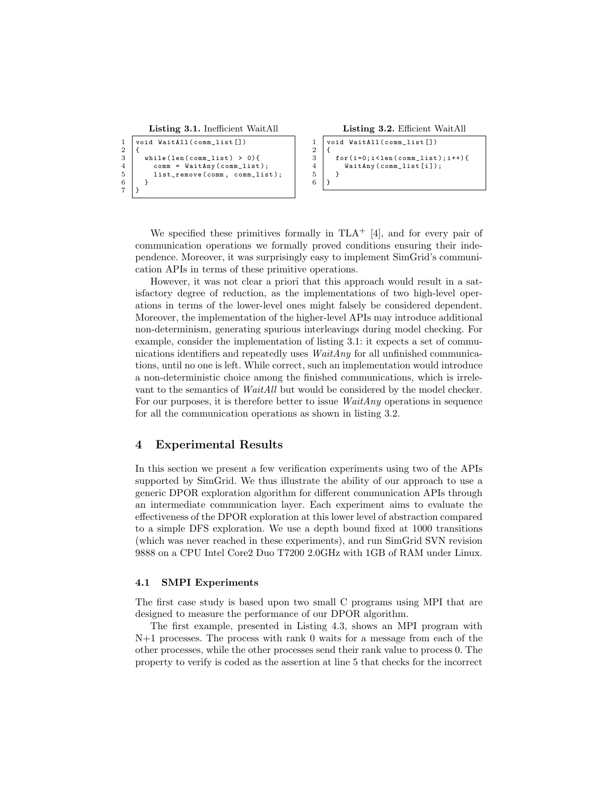```
Listing 3.1. Inefficient WaitAll
1 void WaitAll (comm_list [])
\begin{array}{c} 2 \\ 3 \end{array}\begin{array}{c} 3 \\ 4 \end{array} while ( len ( comm_list ) > 0) {<br>comm = WaitAny ( comm_list
4 comm = WaitAny (comm_list);<br>5 list_remove(comm, comm_lis
             list remove ( comm, comm list );
6 }
7 }
                                                                                           Listing 3.2. Efficient WaitAll
                                                                               1 void WaitAll (comm_list [])
                                                                              \frac{2}{3}\begin{array}{c|c} 3 & \text{for (i=0; i<len (comm\_list); i++)} \ 4 & \text{WaitAny (comm\_list[i])}; \end{array}WaitAny (comm_list [i]);
                                                                              5\,6 }
```
We specified these primitives formally in  $TLA^+$  [4], and for every pair of communication operations we formally proved conditions ensuring their independence. Moreover, it was surprisingly easy to implement SimGrid's communication APIs in terms of these primitive operations.

However, it was not clear a priori that this approach would result in a satisfactory degree of reduction, as the implementations of two high-level operations in terms of the lower-level ones might falsely be considered dependent. Moreover, the implementation of the higher-level APIs may introduce additional non-determinism, generating spurious interleavings during model checking. For example, consider the implementation of listing 3.1: it expects a set of communications identifiers and repeatedly uses WaitAny for all unfinished communications, until no one is left. While correct, such an implementation would introduce a non-deterministic choice among the finished communications, which is irrelevant to the semantics of WaitAll but would be considered by the model checker. For our purposes, it is therefore better to issue *WaitAny* operations in sequence for all the communication operations as shown in listing 3.2.

# 4 Experimental Results

In this section we present a few verification experiments using two of the APIs supported by SimGrid. We thus illustrate the ability of our approach to use a generic DPOR exploration algorithm for different communication APIs through an intermediate communication layer. Each experiment aims to evaluate the effectiveness of the DPOR exploration at this lower level of abstraction compared to a simple DFS exploration. We use a depth bound fixed at 1000 transitions (which was never reached in these experiments), and run SimGrid SVN revision 9888 on a CPU Intel Core2 Duo T7200 2.0GHz with 1GB of RAM under Linux.

#### 4.1 SMPI Experiments

The first case study is based upon two small C programs using MPI that are designed to measure the performance of our DPOR algorithm.

The first example, presented in Listing 4.3, shows an MPI program with N+1 processes. The process with rank 0 waits for a message from each of the other processes, while the other processes send their rank value to process 0. The property to verify is coded as the assertion at line 5 that checks for the incorrect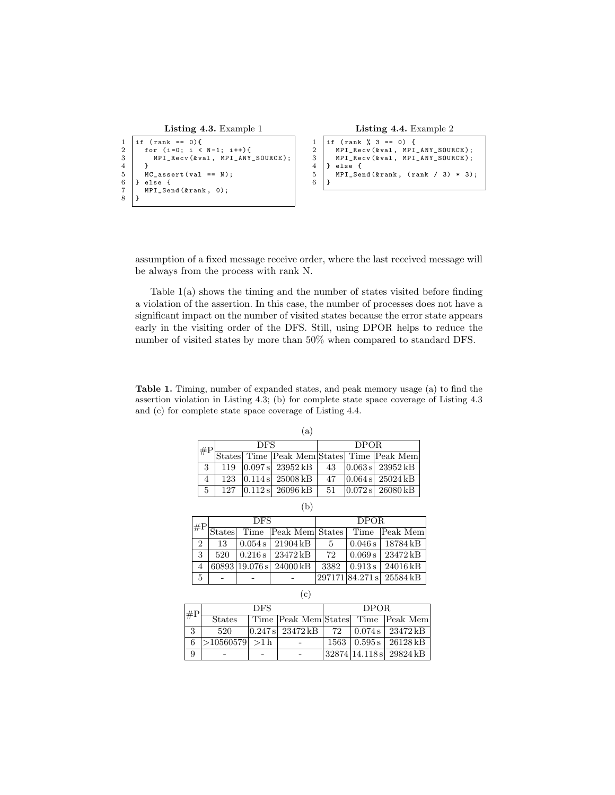```
Listing 4.3. Example 1
\begin{array}{c|cc} 1 & \text{if (rank == 0)} \\ 2 & \text{for (i=0; i & 1)} \end{array}\begin{array}{c|cccc}\n2 & \text{for} & \text{ (i = 0; i < N-1; i++)}\n3 & \text{MPI\_Recv & val, MPI\_ANY}\n\end{array}\texttt{MPI\_Rev} ( \texttt{\& val} , \texttt{MPI\_ANY\_SOURCE} ) ;
\begin{array}{c|c} 4 & 3 \\ 5 & 1 \end{array}5 \big| MC_assert (val == N);<br>6 } else {
\begin{array}{c|cc} 6 & \text{else} & \text{else} \\ 7 & \text{MPI\_Se} \end{array}MPI_Send (krank, 0);8 }
                                                                                                                               Listing 4.4. Example 2
                                                                                                        1 if ( rank % 3 == 0) {
                                                                                                         2 MPI_Recv (& val , MPI_ANY_SOURCE );
3 MPI_Recv (& val , MPI_ANY_SOURCE );
                                                                                                        \begin{array}{c|c} 4 & \rightarrow \text{else} \end{array} & 1 se {
                                                                                                                     MPI_Send (krank, (rank / 3) * 3);6\,
```
assumption of a fixed message receive order, where the last received message will be always from the process with rank N.

Table 1(a) shows the timing and the number of states visited before finding a violation of the assertion. In this case, the number of processes does not have a significant impact on the number of visited states because the error state appears early in the visiting order of the DFS. Still, using DPOR helps to reduce the number of visited states by more than 50% when compared to standard DFS.

Table 1. Timing, number of expanded states, and peak memory usage (a) to find the assertion violation in Listing 4.3; (b) for complete state space coverage of Listing 4.3 and (c) for complete state space coverage of Listing 4.4.

| ×<br>u |  |
|--------|--|

| #P           | <b>DFS</b> |                                          | DPOR. |  |                                           |
|--------------|------------|------------------------------------------|-------|--|-------------------------------------------|
|              |            |                                          |       |  | States Time Peak Mem States Time Peak Mem |
| $\mathbf{3}$ |            | 119 $ 0.097 \text{ s}  23952 \text{ kB}$ |       |  | 43 $ 0.063 \text{ s}  23952 \text{ kB}$   |
| 4            |            | 123 $ 0.114 \text{ s} $ 25008 kB         | 47    |  | $ 0.064 \text{ s} $ 25024 kB              |
| $5^{\circ}$  |            | 127 $ 0.112 \text{ s}  26096 \text{ kB}$ | 51    |  | $ 0.072 \text{ s}  26080 \text{ kB}$      |

| ۰.<br>$\sim$ |  |
|--------------|--|

| #P'            | <b>DFS</b> |  |                          | DPOR. |  |                                                       |  |
|----------------|------------|--|--------------------------|-------|--|-------------------------------------------------------|--|
|                | States     |  | Time Peak Mem States     |       |  | Time Peak Mem                                         |  |
| $\overline{2}$ | 13         |  | $0.054 s$   21904 kB     | -5    |  | $0.046 s$   18784 kB                                  |  |
| 3              | 520        |  | $0.216 s$ 23472 kB       | 72    |  | $0.069 s$ 23472 kB                                    |  |
| $\overline{4}$ |            |  | 60893 19.076 s  24000 kB |       |  | $3382 \mid 0.913 \, \text{s} \mid 24016 \, \text{kB}$ |  |
| 5              |            |  |                          |       |  | 297171 84.271 s 25584 kB                              |  |

(c)

| $\#P$ | <b>DFS</b>     |   |                    | DPOR. |  |                                    |
|-------|----------------|---|--------------------|-------|--|------------------------------------|
|       | <b>States</b>  |   |                    |       |  | Time Peak Mem States Time Peak Mem |
| 3     | 520            |   | $0.247 s$ 23472 kB | 72    |  | $0.074 s$   23472 kB               |
| 6     | >10560579 >1 h |   |                    |       |  | 1563   0.595 s   26128 kB          |
| 9     |                | - |                    |       |  | 32874 14.118 s 29824 kB            |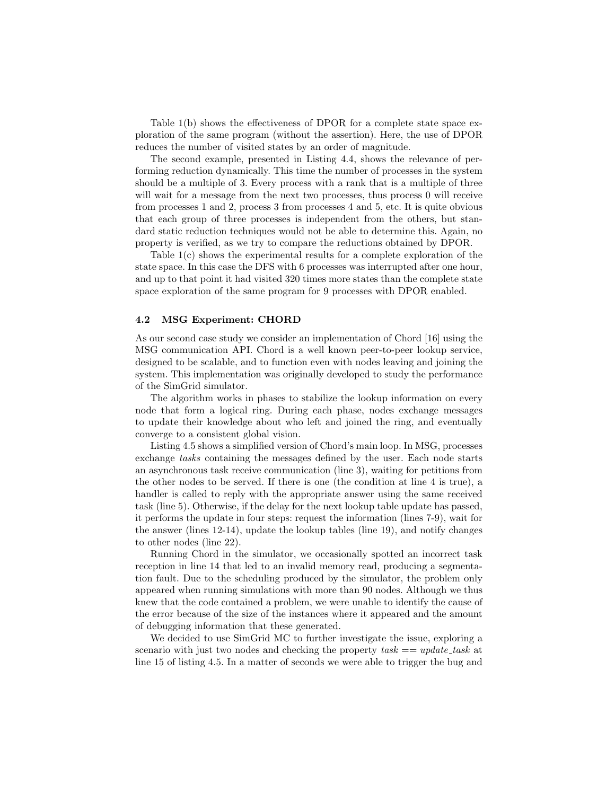Table 1(b) shows the effectiveness of DPOR for a complete state space exploration of the same program (without the assertion). Here, the use of DPOR reduces the number of visited states by an order of magnitude.

The second example, presented in Listing 4.4, shows the relevance of performing reduction dynamically. This time the number of processes in the system should be a multiple of 3. Every process with a rank that is a multiple of three will wait for a message from the next two processes, thus process 0 will receive from processes 1 and 2, process 3 from processes 4 and 5, etc. It is quite obvious that each group of three processes is independent from the others, but standard static reduction techniques would not be able to determine this. Again, no property is verified, as we try to compare the reductions obtained by DPOR.

Table 1(c) shows the experimental results for a complete exploration of the state space. In this case the DFS with 6 processes was interrupted after one hour, and up to that point it had visited 320 times more states than the complete state space exploration of the same program for 9 processes with DPOR enabled.

#### 4.2 MSG Experiment: CHORD

As our second case study we consider an implementation of Chord [16] using the MSG communication API. Chord is a well known peer-to-peer lookup service, designed to be scalable, and to function even with nodes leaving and joining the system. This implementation was originally developed to study the performance of the SimGrid simulator.

The algorithm works in phases to stabilize the lookup information on every node that form a logical ring. During each phase, nodes exchange messages to update their knowledge about who left and joined the ring, and eventually converge to a consistent global vision.

Listing 4.5 shows a simplified version of Chord's main loop. In MSG, processes exchange tasks containing the messages defined by the user. Each node starts an asynchronous task receive communication (line 3), waiting for petitions from the other nodes to be served. If there is one (the condition at line 4 is true), a handler is called to reply with the appropriate answer using the same received task (line 5). Otherwise, if the delay for the next lookup table update has passed, it performs the update in four steps: request the information (lines 7-9), wait for the answer (lines 12-14), update the lookup tables (line 19), and notify changes to other nodes (line 22).

Running Chord in the simulator, we occasionally spotted an incorrect task reception in line 14 that led to an invalid memory read, producing a segmentation fault. Due to the scheduling produced by the simulator, the problem only appeared when running simulations with more than 90 nodes. Although we thus knew that the code contained a problem, we were unable to identify the cause of the error because of the size of the instances where it appeared and the amount of debugging information that these generated.

We decided to use SimGrid MC to further investigate the issue, exploring a scenario with just two nodes and checking the property  $task == update\_task$  at line 15 of listing 4.5. In a matter of seconds we were able to trigger the bug and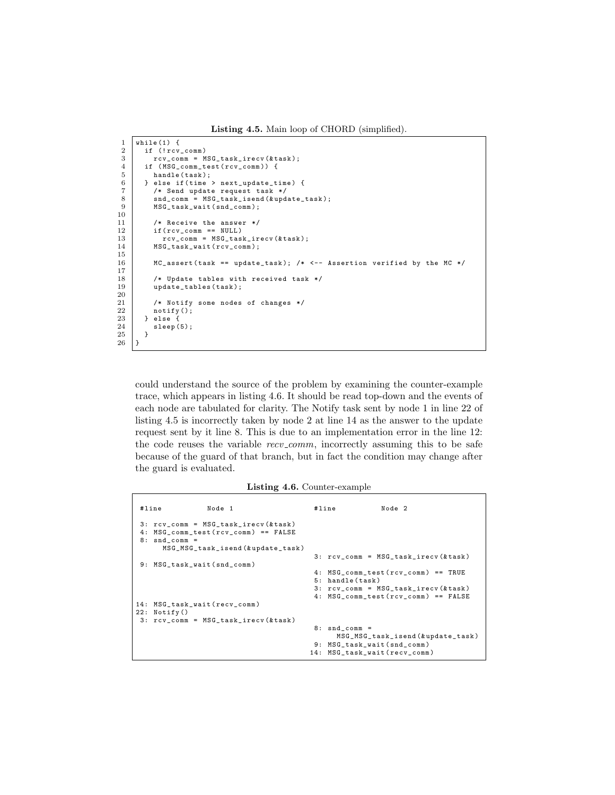Listing 4.5. Main loop of CHORD (simplified).

```
\begin{array}{c|cc} 1 & \text{while (1)} & \text{f} \\ 2 & \text{if (lrcv)} \end{array}\begin{array}{c|c} 2 & \text{if } (\text{!rcv\_comm}) \\ 3 & \text{rcv\_comm} = \mathbb{N} \end{array}\begin{array}{c|c} 3 & \text{rcv\_comm} = \text{MSC\_task\_irecv (& task);} \\ 4 & \text{if (MSG\_comm\_test (rcv\_comm)) } \end{array}4 if (MSG\_comm\_test(rcv\_comm)) {<br>5 handle(task);
  \begin{array}{c|c} 5 & \text{handle(task)}; \\ 6 & \text{} \end{array}6 } else if (time > next_update_time) {<br>
7 /* Send update request task */
  7 /* Send update request task */<br>8 snd_comm = MSG_task_isend(&upd
  8 snd_comm = MSG_task_isend (& update_task);<br>9 MSG_task_wait(snd_comm);
                   MSG_task_wait (snd_comm);
\begin{array}{c} 10 \\ 11 \end{array}11 \vert /* Receive the answer */<br>12 if (rcv_comm == NULL)
 12 if ( rcv_comm == NULL )<br>13 rcv_comm = MSG_task_irecv ( & task );
14 | MSG_task_wait (rcv_comm);
\begin{array}{c} 15 \\ 16 \end{array}MC<sub>assert</sub> (task == update_task); /* <-- Assertion verified by the MC */
\begin{array}{c} 17 \\ 18 \end{array}18 \vert /* Update tables with received task */<br>19 update_tables(task);
                   update_tables (task);
\begin{array}{c} 20 \\ 21 \end{array}21 /* Notify some nodes of changes */<br>
22 notify();
\begin{array}{c|c} 22 & \text{notify}(); \\ 23 & \text{else} \end{array}\begin{array}{c|c} 23 & \rightarrow & \text{else} \end{array} & \begin{array}{c} 23 & \text{else} \end{array}sleep(5);\begin{array}{c|c} 25 \\ 26 \end{array}26 }
```
could understand the source of the problem by examining the counter-example trace, which appears in listing 4.6. It should be read top-down and the events of each node are tabulated for clarity. The Notify task sent by node 1 in line 22 of listing 4.5 is incorrectly taken by node 2 at line 14 as the answer to the update request sent by it line 8. This is due to an implementation error in the line 12: the code reuses the variable  $recv_{\text{c}} comm$ , incorrectly assuming this to be safe because of the guard of that branch, but in fact the condition may change after the guard is evaluated.

Listing 4.6. Counter-example

| #line<br>Node 1                     | Node 2<br>#line                     |
|-------------------------------------|-------------------------------------|
| 3: rcv_comm = MSG_task_irecv(&task) |                                     |
| 4: MSG_comm_test(rcv_comm) == FALSE |                                     |
| $8:$ snd comm =                     |                                     |
| MSG_MSG_task_isend(&update_task)    |                                     |
|                                     | 3: rcv_comm = MSG_task_irecv(&task) |
| 9: MSG_task_wait(snd_comm)          |                                     |
|                                     | 4: MSG_comm_test(rcv_comm) == TRUE  |
|                                     | 5: handle(task)                     |
|                                     | 3: rcv_comm = MSG_task_irecv(&task) |
|                                     | 4: MSG_comm_test(rcv_comm) == FALSE |
| 14: MSG_task_wait(recv_comm)        |                                     |
| 22: Notify()                        |                                     |
| 3: rcv_comm = MSG_task_irecv(&task) |                                     |
|                                     | $8: \text{snd\_comm} =$             |
|                                     | MSG_MSG_task_isend(&update_task)    |
|                                     | 9: MSG_task_wait(snd_comm)          |
|                                     | 14: MSG_task_wait(recv_comm)        |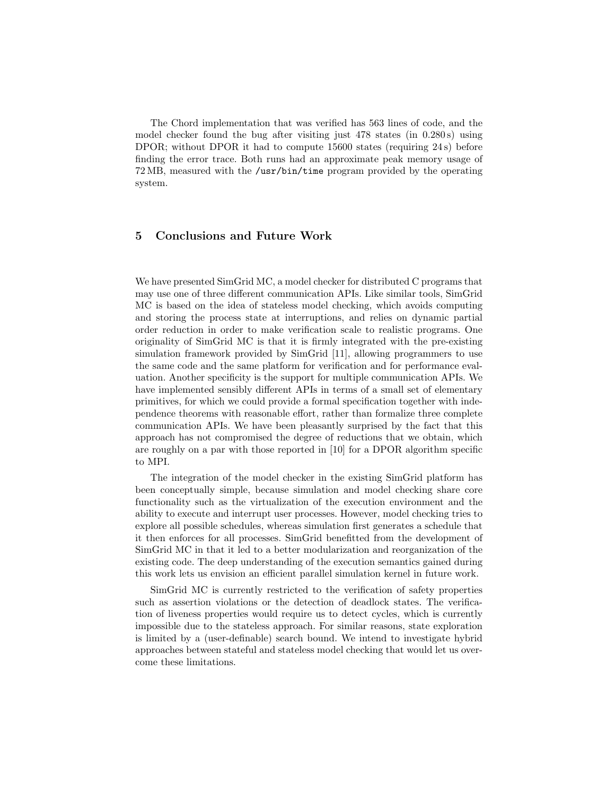The Chord implementation that was verified has 563 lines of code, and the model checker found the bug after visiting just  $478$  states (in  $0.280$  s) using DPOR; without DPOR it had to compute 15600 states (requiring 24s) before finding the error trace. Both runs had an approximate peak memory usage of 72 MB, measured with the /usr/bin/time program provided by the operating system.

# 5 Conclusions and Future Work

We have presented SimGrid MC, a model checker for distributed C programs that may use one of three different communication APIs. Like similar tools, SimGrid MC is based on the idea of stateless model checking, which avoids computing and storing the process state at interruptions, and relies on dynamic partial order reduction in order to make verification scale to realistic programs. One originality of SimGrid MC is that it is firmly integrated with the pre-existing simulation framework provided by SimGrid [11], allowing programmers to use the same code and the same platform for verification and for performance evaluation. Another specificity is the support for multiple communication APIs. We have implemented sensibly different APIs in terms of a small set of elementary primitives, for which we could provide a formal specification together with independence theorems with reasonable effort, rather than formalize three complete communication APIs. We have been pleasantly surprised by the fact that this approach has not compromised the degree of reductions that we obtain, which are roughly on a par with those reported in [10] for a DPOR algorithm specific to MPI.

The integration of the model checker in the existing SimGrid platform has been conceptually simple, because simulation and model checking share core functionality such as the virtualization of the execution environment and the ability to execute and interrupt user processes. However, model checking tries to explore all possible schedules, whereas simulation first generates a schedule that it then enforces for all processes. SimGrid benefitted from the development of SimGrid MC in that it led to a better modularization and reorganization of the existing code. The deep understanding of the execution semantics gained during this work lets us envision an efficient parallel simulation kernel in future work.

SimGrid MC is currently restricted to the verification of safety properties such as assertion violations or the detection of deadlock states. The verification of liveness properties would require us to detect cycles, which is currently impossible due to the stateless approach. For similar reasons, state exploration is limited by a (user-definable) search bound. We intend to investigate hybrid approaches between stateful and stateless model checking that would let us overcome these limitations.